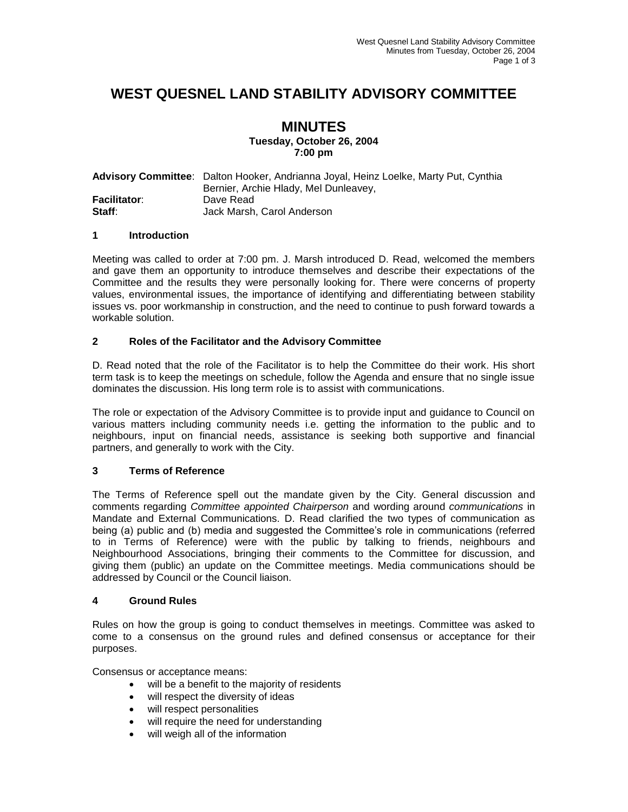# **WEST QUESNEL LAND STABILITY ADVISORY COMMITTEE**

#### **MINUTES Tuesday, October 26, 2004 7:00 pm**

|              | Advisory Committee: Dalton Hooker, Andrianna Joyal, Heinz Loelke, Marty Put, Cynthia |
|--------------|--------------------------------------------------------------------------------------|
|              | Bernier, Archie Hlady, Mel Dunleavey,                                                |
| Facilitator: | Dave Read                                                                            |
| Staff:       | Jack Marsh, Carol Anderson                                                           |

#### **1 Introduction**

Meeting was called to order at 7:00 pm. J. Marsh introduced D. Read, welcomed the members and gave them an opportunity to introduce themselves and describe their expectations of the Committee and the results they were personally looking for. There were concerns of property values, environmental issues, the importance of identifying and differentiating between stability issues vs. poor workmanship in construction, and the need to continue to push forward towards a workable solution.

### **2 Roles of the Facilitator and the Advisory Committee**

D. Read noted that the role of the Facilitator is to help the Committee do their work. His short term task is to keep the meetings on schedule, follow the Agenda and ensure that no single issue dominates the discussion. His long term role is to assist with communications.

The role or expectation of the Advisory Committee is to provide input and guidance to Council on various matters including community needs i.e. getting the information to the public and to neighbours, input on financial needs, assistance is seeking both supportive and financial partners, and generally to work with the City.

#### **3 Terms of Reference**

The Terms of Reference spell out the mandate given by the City. General discussion and comments regarding *Committee appointed Chairperson* and wording around *communications* in Mandate and External Communications. D. Read clarified the two types of communication as being (a) public and (b) media and suggested the Committee's role in communications (referred to in Terms of Reference) were with the public by talking to friends, neighbours and Neighbourhood Associations, bringing their comments to the Committee for discussion, and giving them (public) an update on the Committee meetings. Media communications should be addressed by Council or the Council liaison.

#### **4 Ground Rules**

Rules on how the group is going to conduct themselves in meetings. Committee was asked to come to a consensus on the ground rules and defined consensus or acceptance for their purposes.

Consensus or acceptance means:

- will be a benefit to the majority of residents
- will respect the diversity of ideas
- will respect personalities
- will require the need for understanding
- will weigh all of the information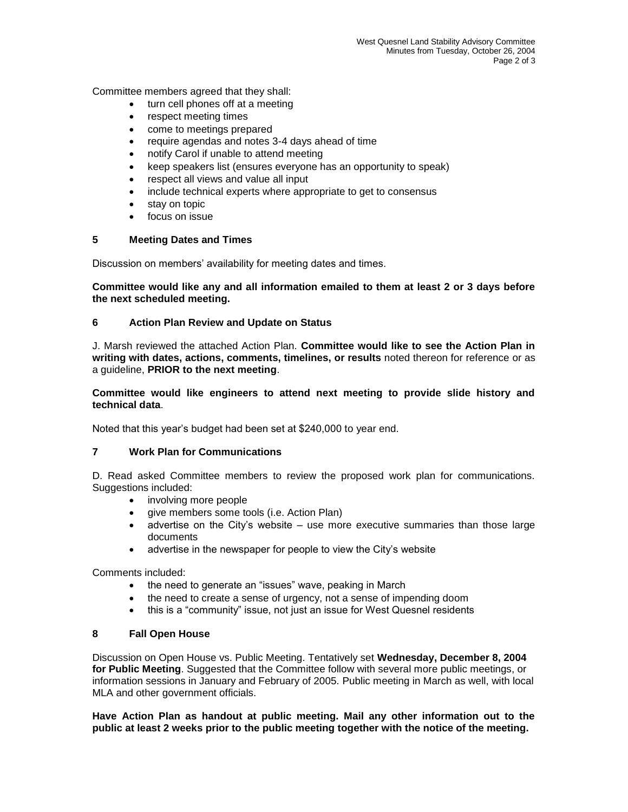Committee members agreed that they shall:

- turn cell phones off at a meeting
- respect meeting times
- come to meetings prepared
- require agendas and notes 3-4 days ahead of time
- notify Carol if unable to attend meeting
- keep speakers list (ensures everyone has an opportunity to speak)
- respect all views and value all input
- include technical experts where appropriate to get to consensus
- stay on topic
- focus on issue

#### **5 Meeting Dates and Times**

Discussion on members' availability for meeting dates and times.

**Committee would like any and all information emailed to them at least 2 or 3 days before the next scheduled meeting.**

#### **6 Action Plan Review and Update on Status**

J. Marsh reviewed the attached Action Plan. **Committee would like to see the Action Plan in writing with dates, actions, comments, timelines, or results** noted thereon for reference or as a guideline, **PRIOR to the next meeting**.

**Committee would like engineers to attend next meeting to provide slide history and technical data**.

Noted that this year's budget had been set at \$240,000 to year end.

#### **7 Work Plan for Communications**

D. Read asked Committee members to review the proposed work plan for communications. Suggestions included:

- involving more people
- give members some tools (i.e. Action Plan)
- advertise on the City's website use more executive summaries than those large documents
- advertise in the newspaper for people to view the City's website

Comments included:

- the need to generate an "issues" wave, peaking in March
- the need to create a sense of urgency, not a sense of impending doom
- this is a "community" issue, not just an issue for West Quesnel residents

#### **8 Fall Open House**

Discussion on Open House vs. Public Meeting. Tentatively set **Wednesday, December 8, 2004 for Public Meeting**. Suggested that the Committee follow with several more public meetings, or information sessions in January and February of 2005. Public meeting in March as well, with local MLA and other government officials.

**Have Action Plan as handout at public meeting. Mail any other information out to the public at least 2 weeks prior to the public meeting together with the notice of the meeting.**